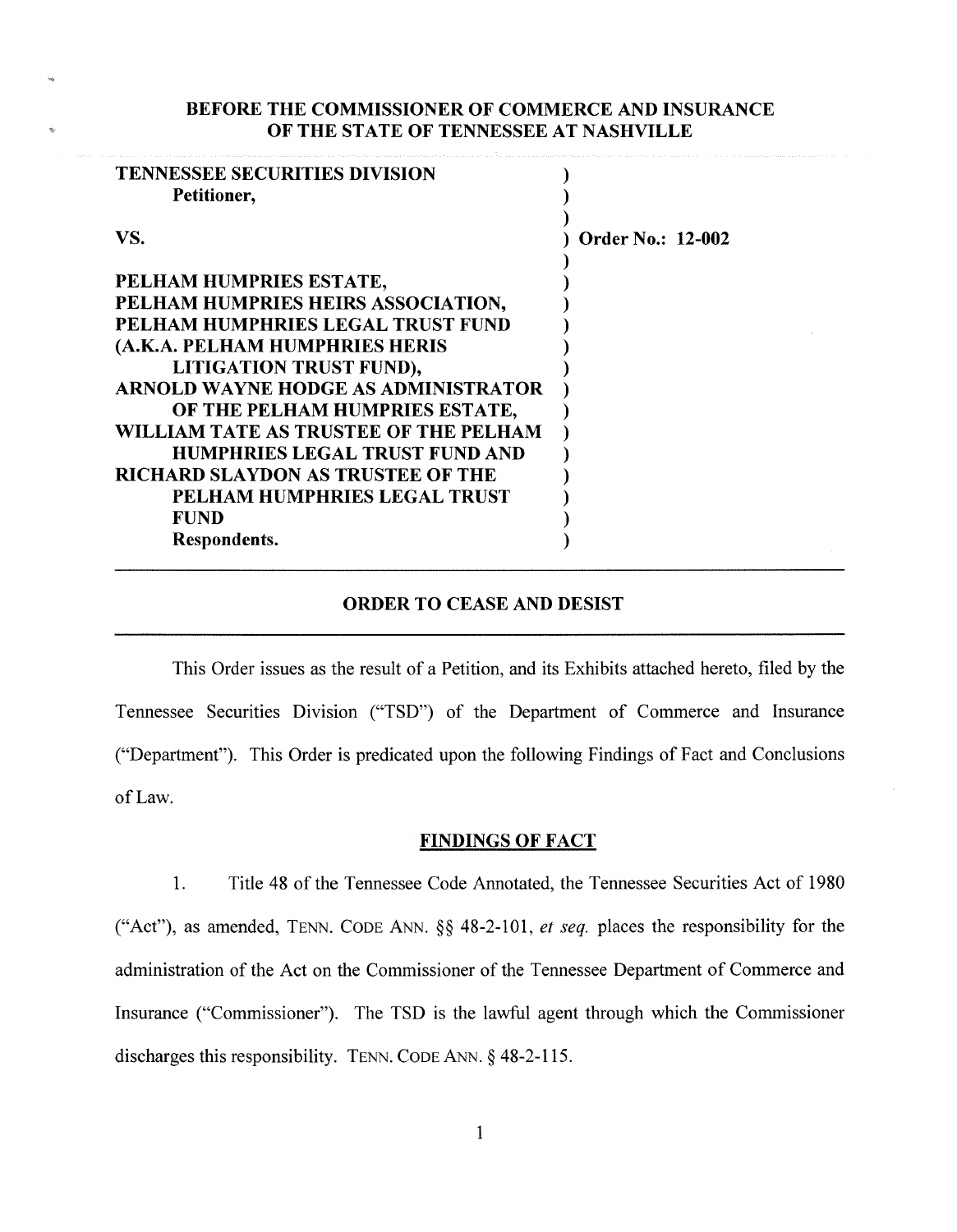### BEFORE THE COMMISSIONER OF COMMERCE AND INSURANCE OF THE STATE OF TENNESSEE AT NASHVILLE

| <b>TENNESSEE SECURITIES DIVISION</b><br>Petitioner, |                          |
|-----------------------------------------------------|--------------------------|
| VS.                                                 | <b>Order No.: 12-002</b> |
| PELHAM HUMPRIES ESTATE,                             |                          |
| PELHAM HUMPRIES HEIRS ASSOCIATION,                  |                          |
| PELHAM HUMPHRIES LEGAL TRUST FUND                   |                          |
| (A.K.A. PELHAM HUMPHRIES HERIS                      |                          |
| <b>LITIGATION TRUST FUND),</b>                      |                          |
| <b>ARNOLD WAYNE HODGE AS ADMINISTRATOR</b>          |                          |
| OF THE PELHAM HUMPRIES ESTATE,                      |                          |
| WILLIAM TATE AS TRUSTEE OF THE PELHAM               |                          |
| <b>HUMPHRIES LEGAL TRUST FUND AND</b>               |                          |
| <b>RICHARD SLAYDON AS TRUSTEE OF THE</b>            |                          |
| PELHAM HUMPHRIES LEGAL TRUST                        |                          |
| <b>FUND</b>                                         |                          |
| Respondents.                                        |                          |

## ORDER TO CEASE AND DESIST

This Order issues as the result of a Petition, and its Exhibits attached hereto, filed by the Tennessee Securities Division ("TSD") of the Department of Commerce and Insurance ("Department"). This Order is predicated upon the following Findings of Fact and Conclusions of Law.

#### FINDINGS OF FACT

1. Title 48 of the Tennessee Code Annotated, the Tennessee Securities Act of 1980 ("Act"), as amended, TENN. CODE ANN. §§ 48-2-101, *et seq.* places the responsibility for the administration of the Act on the Commissioner of the Tennessee Department of Commerce and Insurance ("Commissioner"). The TSD is the lawful agent through which the Commissioner discharges this responsibility. TENN. CODE ANN. § 48-2-115.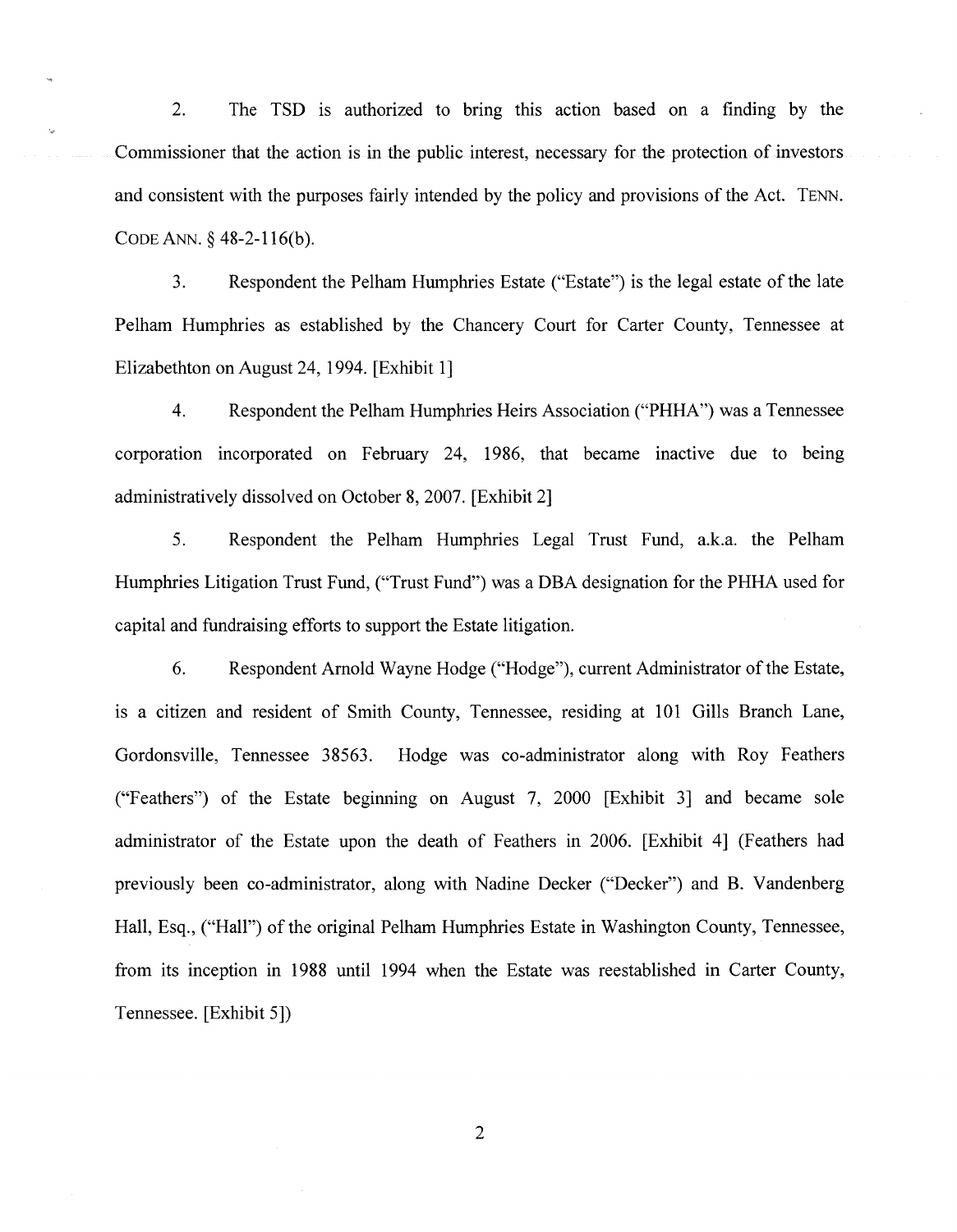2. The TSD is authorized to bring this action based on a finding by the Commissioner that the action is in the public interest, necessary for the protection of investors and consistent with the purposes fairly intended by the policy and provisions of the Act. TENN. CODE ANN.§ 48-2-116(b).

3. Respondent the Pelham Humphries Estate ("Estate") is the legal estate of the late Pelham Humphries as established by the Chancery Court for Carter County, Tennessee at Elizabethton on August 24, 1994. [Exhibit 1]

4. Respondent the Pelham Humphries Heirs Association ("PHHA") was a Tennessee corporation incorporated on February 24, 1986, that became inactive due to being administratively dissolved on October 8, 2007. [Exhibit 2]

5. Respondent the Pelham Humphries Legal Trust Fund, a.k.a. the Pelham Humphries Litigation Trust Fund, ("Trust Fund") was a DBA designation for the PHHA used for capital and fundraising efforts to support the Estate litigation.

6. Respondent Arnold Wayne Hodge ("Hodge"), current Administrator of the Estate, 1s a citizen and resident of Smith County, Tennessee, residing at 101 Gills Branch Lane, Gordonsville, Tennessee 38563. Hodge was co-administrator along with Roy Feathers ("Feathers") of the Estate beginning on August 7, 2000 [Exhibit 3] and became sole administrator of the Estate upon the death of Feathers in 2006. [Exhibit 4] (Feathers had previously been co-administrator, along with Nadine Decker ("Decker") and B. Vandenberg Hall, Esq., ("Hall") of the original Pelham Humphries Estate in Washington County, Tennessee, from its inception in 1988 until 1994 when the Estate was reestablished in Carter County, Tennessee. [Exhibit 5])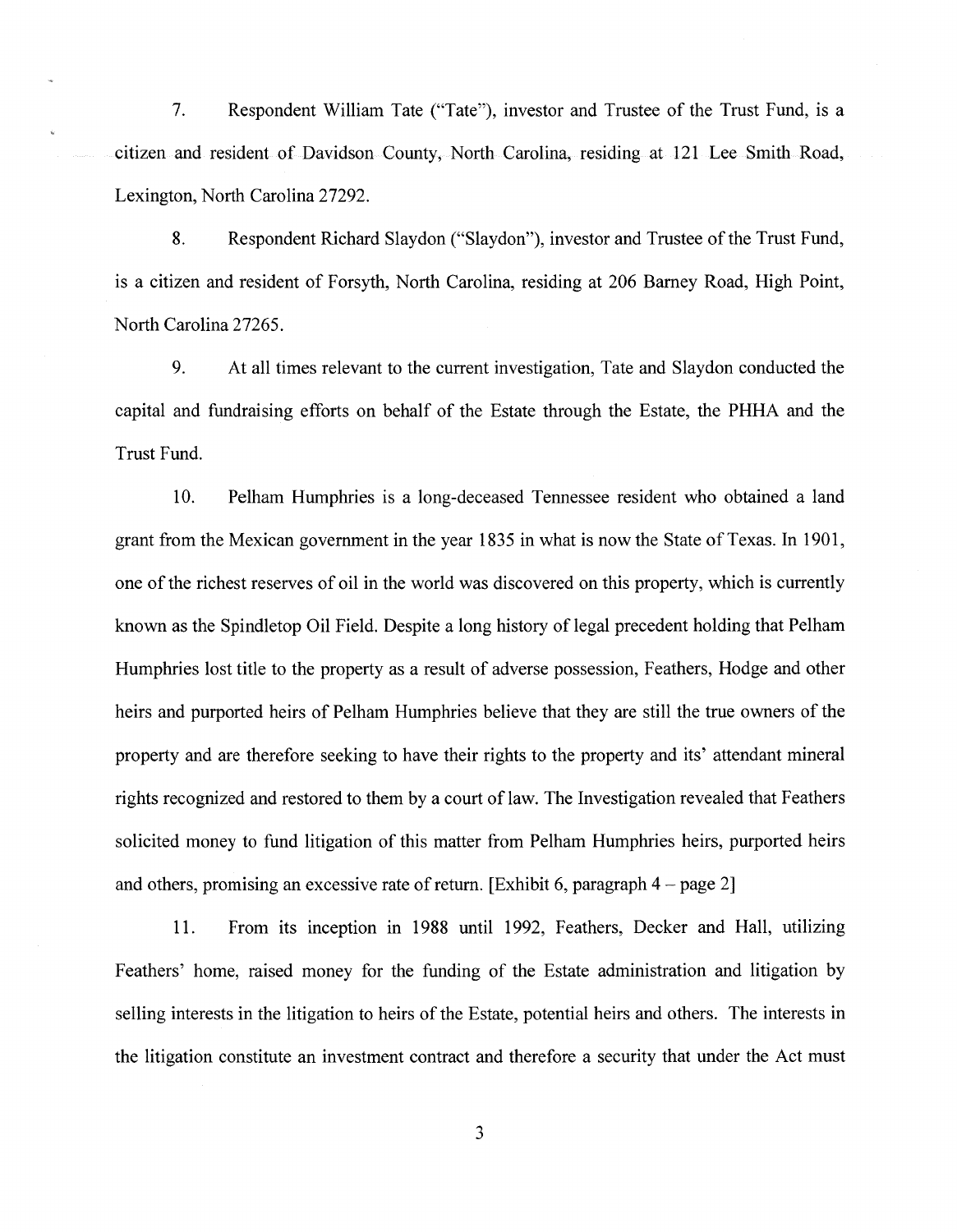7. Respondent William Tate ("Tate"), investor and Trustee of the Trust Fund, is a citizen and resident of Davidson County, North Carolina, residing at 121 Lee Smith Road, Lexington, North Carolina 27292.

8. Respondent Richard Slaydon ("Slaydon"), investor and Trustee of the Trust Fund, is a citizen and resident of Forsyth, North Carolina, residing at 206 Barney Road, High Point, North Carolina 27265.

9. At all times relevant to the current investigation, Tate and Slaydon conducted the capital and fundraising efforts on behalf of the Estate through the Estate, the PHHA and the Trust Fund.

10. Pelham Humphries is a long-deceased Tennessee resident who obtained a land grant from the Mexican government in the year 1835 in what is now the State of Texas. In 1901, one of the richest reserves of oil in the world was discovered on this property, which is currently known as the Spindletop Oil Field. Despite a long history of legal precedent holding that Pelham Humphries lost title to the property as a result of adverse possession, Feathers, Hodge and other heirs and purported heirs of Pelham Humphries believe that they are still the true owners of the property and are therefore seeking to have their rights to the property and its' attendant mineral rights recognized and restored to them by a court of law. The Investigation revealed that Feathers solicited money to fund litigation of this matter from Pelham Humphries heirs, purported heirs and others, promising an excessive rate of return. [Exhibit 6, paragraph  $4$  – page 2]

11. From its inception in 1988 until 1992, Feathers, Decker and Hall, utilizing Feathers' home, raised money for the funding of the Estate administration and litigation by selling interests in the litigation to heirs of the Estate, potential heirs and others. The interests in the litigation constitute an investment contract and therefore a security that under the Act must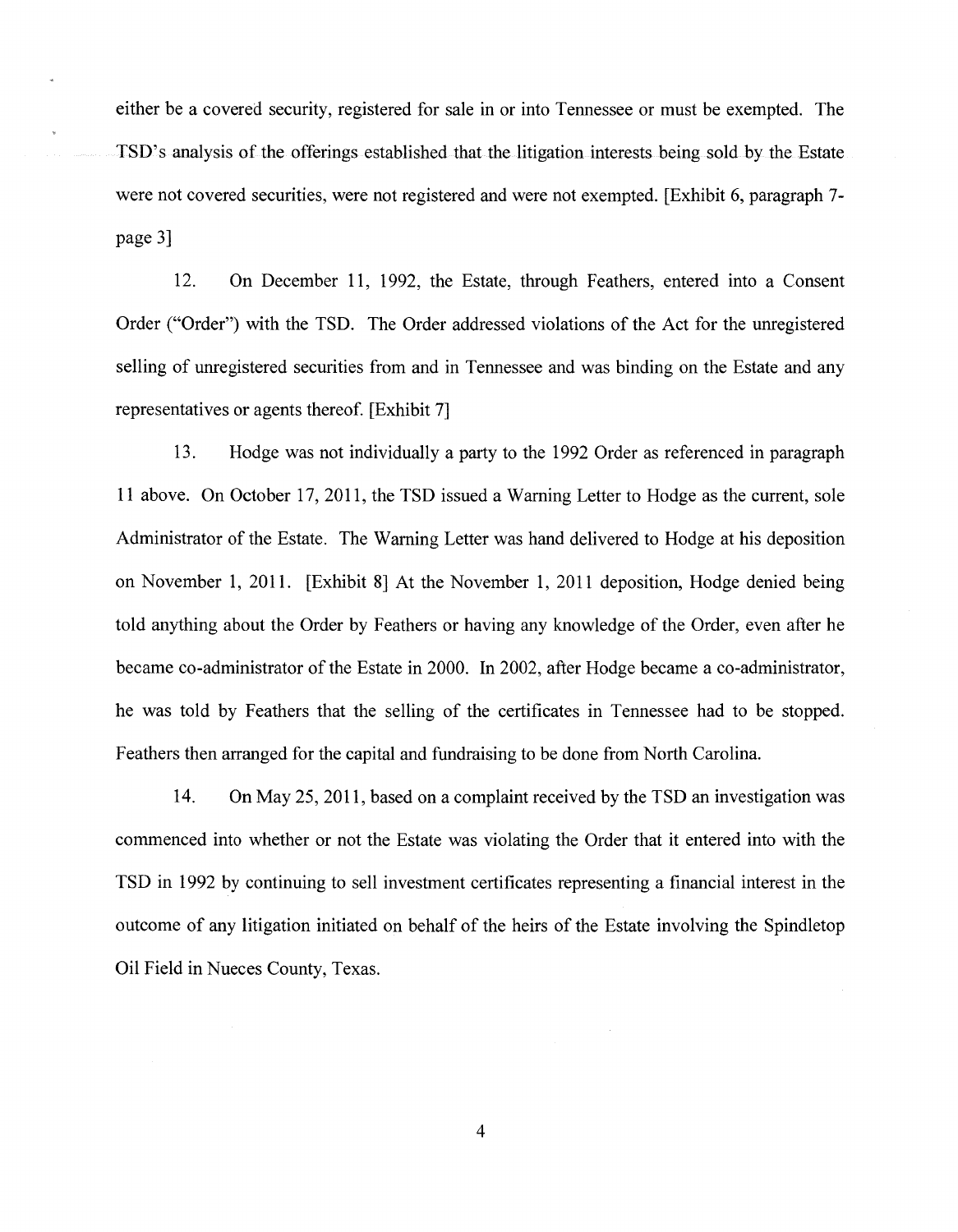either be a covered security, registered for sale in or into Tennessee or must be exempted. The TSD's analysis of the offerings established that the litigation interests being sold by the Estate were not covered securities, were not registered and were not exempted. [Exhibit 6, paragraph 7 page 3]

12. On December 11, 1992, the Estate, through Feathers, entered into a Consent Order ("Order") with the TSD. The Order addressed violations of the Act for the unregistered selling of unregistered securities from and in Tennessee and was binding on the Estate and any representatives or agents thereof. [Exhibit 7]

13. Hodge was not individually a party to the 1992 Order as referenced in paragraph 11 above. On October 17, 2011, the TSD issued a Warning Letter to Hodge as the current, sole Administrator of the Estate. The Warning Letter was hand delivered to Hodge at his deposition on November 1, 2011. [Exhibit 8] At the November 1, 2011 deposition, Hodge denied being told anything about the Order by Feathers or having any knowledge of the Order, even after he became co-administrator of the Estate in 2000. In 2002, after Hodge became a co-administrator, he was told by Feathers that the selling of the certificates in Tennessee had to be stopped. Feathers then arranged for the capital and fundraising to be done from North Carolina.

14. On May 25, 2011, based on a complaint received by the TSD an investigation was commenced into whether or not the Estate was violating the Order that it entered into with the TSD in 1992 by continuing to sell investment certificates representing a financial interest in the outcome of any litigation initiated on behalf of the heirs of the Estate involving the Spindletop Oil Field in Nueces County, Texas.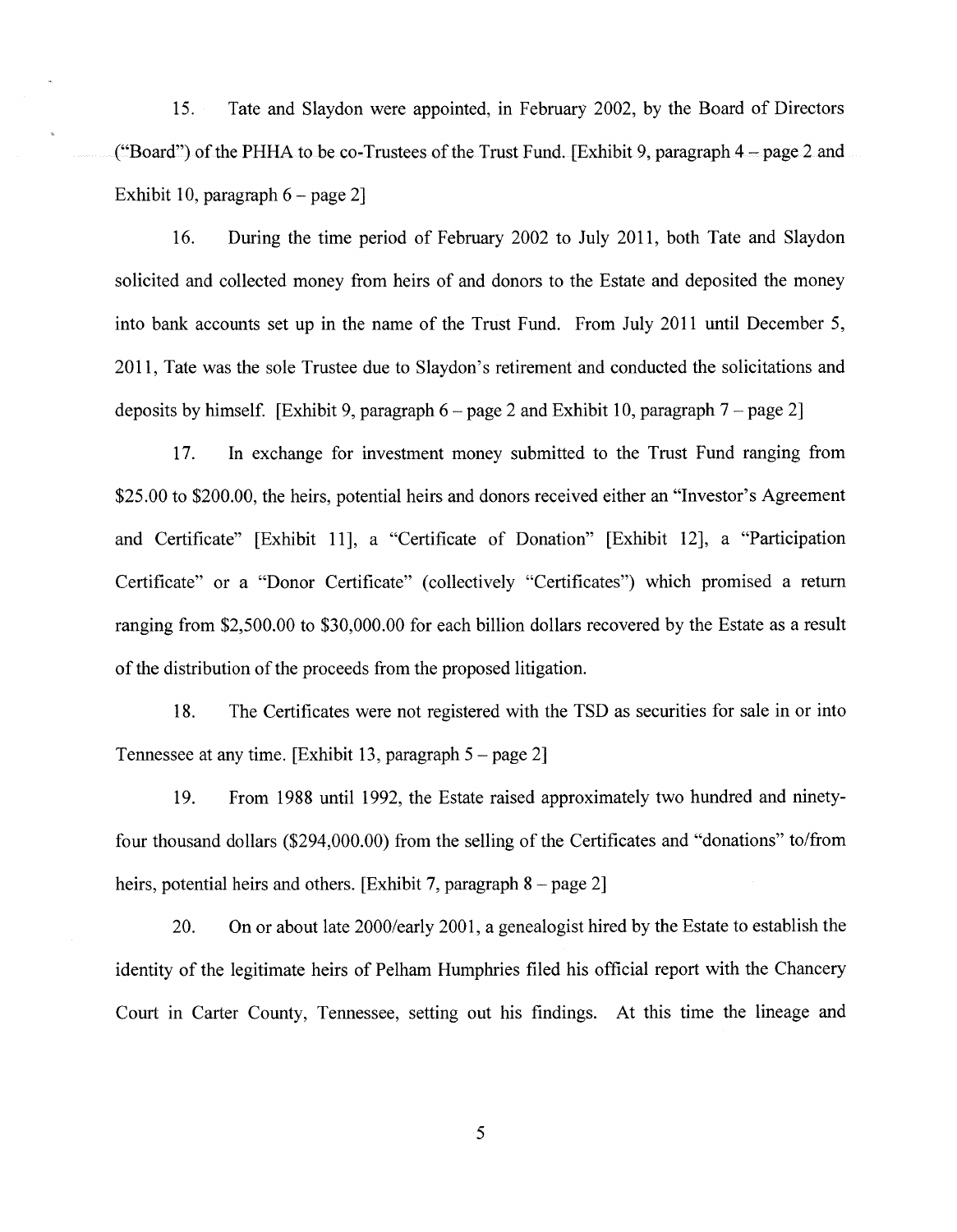15. Tate and Slaydon were appointed, in February 2002, by the Board of Directors ("Board") of the PHHA to be co-Trustees of the Trust Fund. [Exhibit 9, paragraph  $4$  – page 2 and Exhibit 10, paragraph  $6$  – page 2]

16. During the time period of February 2002 to July 2011, both Tate and Slaydon solicited and collected money from heirs of and donors to the Estate and deposited the money into bank accounts set up in the name of the Trust Fund. From July 2011 until December 5, 2011, Tate was the sole Trustee due to Slaydon's retirement and conducted the solicitations and deposits by himself. [Exhibit 9, paragraph  $6$  – page 2 and Exhibit 10, paragraph  $7$  – page 2]

17. In exchange for investment money submitted to the Trust Fund ranging from \$25.00 to \$200.00, the heirs, potential heirs and donors received either an "Investor's Agreement and Certificate" [Exhibit 11], a "Certificate of Donation" [Exhibit 12], a "Participation Certificate" or a "Donor Certificate" (collectively "Certificates") which promised a return ranging from \$2,500.00 to \$30,000.00 for each billion dollars recovered by the Estate as a result of the distribution of the proceeds from the proposed litigation.

18. The Certificates were not registered with the TSD as securities for sale in or into Tennessee at any time. [Exhibit 13, paragraph 5- page 2]

19. From 1988 until 1992, the Estate raised approximately two hundred and ninetyfour thousand dollars (\$294,000.00) from the selling of the Certificates and "donations" to/from heirs, potential heirs and others. [Exhibit 7, paragraph  $8$  – page 2]

20. On or about late 2000/early 2001, a genealogist hired by the Estate to establish the identity of the legitimate heirs of Pelham Humphries filed his official report with the Chancery Court in Carter County, Tennessee, setting out his findings. At this time the lineage and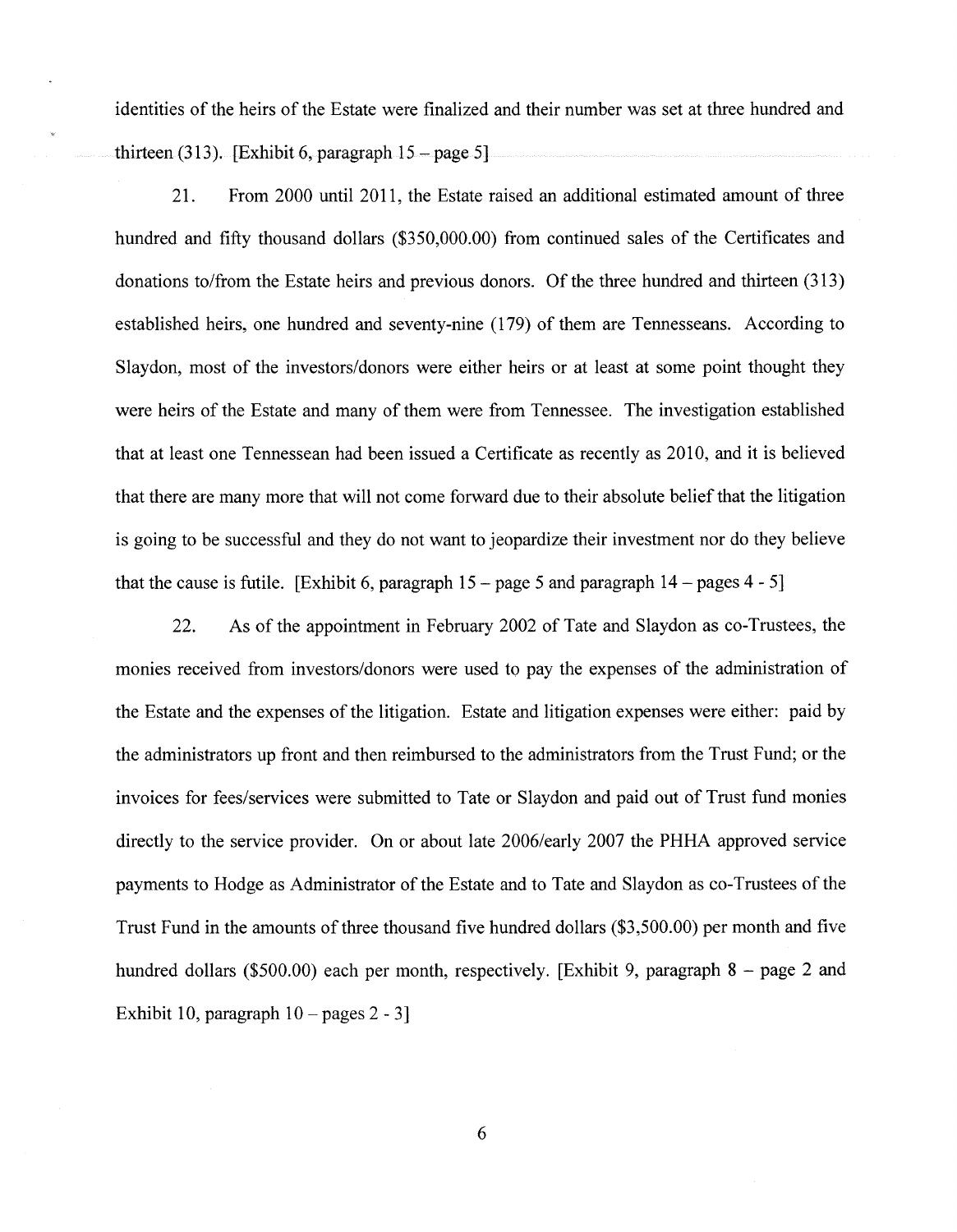identities of the heirs of the Estate were finalized and their number was set at three hundred and thirteen  $(313)$ . [Exhibit 6, paragraph  $15 - page 5$ ].

21. From 2000 until 2011, the Estate raised an additional estimated amount of three hundred and fifty thousand dollars (\$350,000.00) from continued sales of the Certificates and donations to/from the Estate heirs and previous donors. Of the three hundred and thirteen (313) established heirs, one hundred and seventy-nine (179) of them are Tennesseans. According to Slaydon, most of the investors/donors were either heirs or at least at some point thought they were heirs of the Estate and many of them were from Tennessee. The investigation established that at least one Tennessean had been issued a Certificate as recently as 2010, and it is believed that there are many more that will not come forward due to their absolute belief that the litigation is going to be successful and they do not want to jeopardize their investment nor do they believe that the cause is futile. [Exhibit 6, paragraph  $15 - \text{page 5}$  and paragraph  $14 - \text{pages } 4 - 5$ ]

22. As of the appointment in February 2002 of Tate and Slaydon as co-Trustees, the monies received from investors/donors were used to pay the expenses of the administration of the Estate and the expenses of the litigation. Estate and litigation expenses were either: paid by the administrators up front and then reimbursed to the administrators from the Trust Fund; or the invoices for fees/services were submitted to Tate or Slaydon and paid out of Trust fund monies directly to the service provider. On or about late 2006/early 2007 the PHHA approved service payments to Hodge as Administrator of the Estate and to Tate and Slaydon as co-Trustees of the Trust Fund in the amounts of three thousand five hundred dollars (\$3,500.00) per month and five hundred dollars (\$500.00) each per month, respectively. [Exhibit 9, paragraph  $8 -$ page 2 and Exhibit 10, paragraph  $10 - \text{pages } 2 - 3$ ]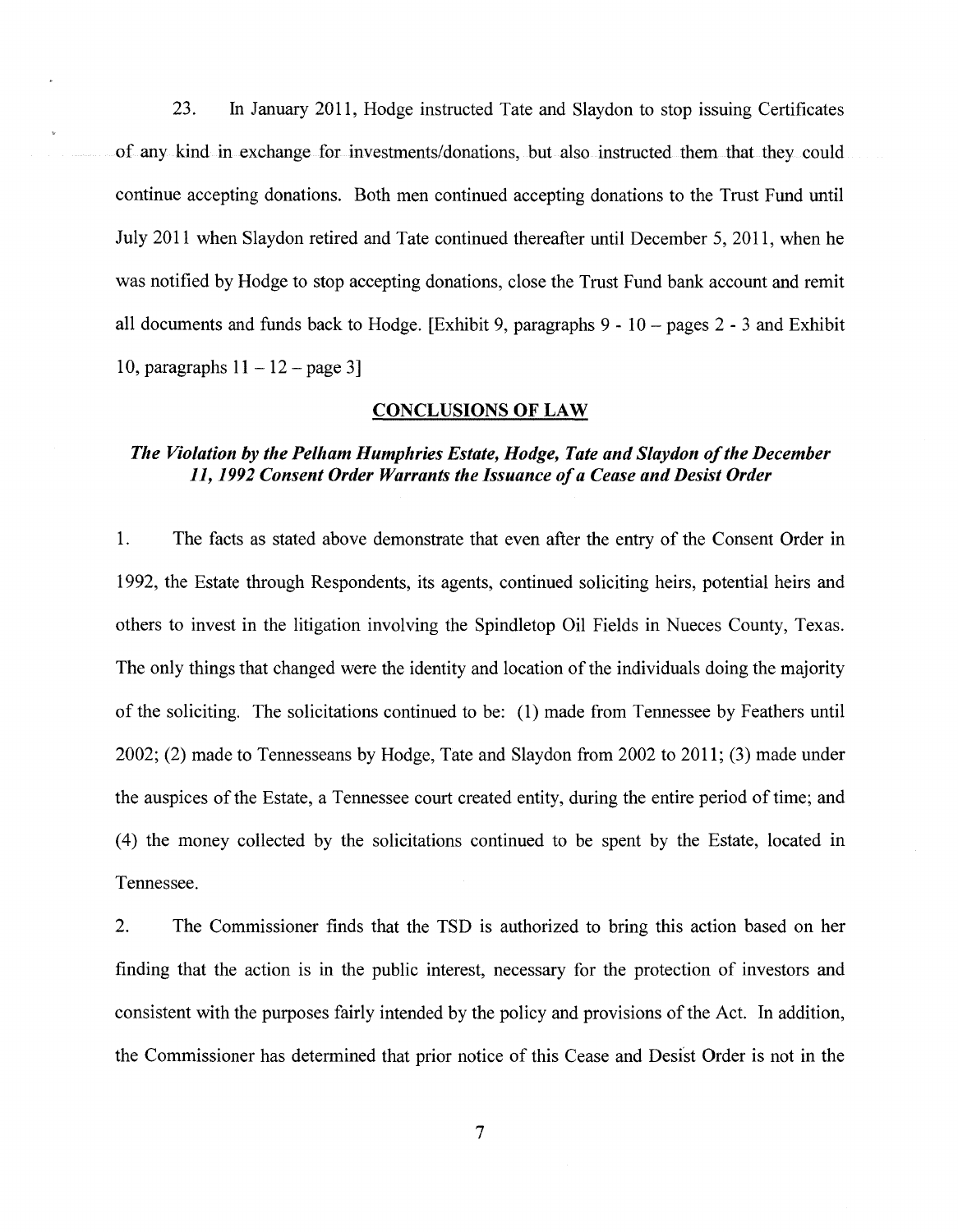23. In January 2011, Hodge instructed Tate and Slaydon to stop issuing Certificates of any kind in exchange for investments/donations, but also instructed them that they could continue accepting donations. Both men continued accepting donations to the Trust Fund until July 2011 when Slaydon retired and Tate continued thereafter until December 5, 2011, when he was notified by Hodge to stop accepting donations, close the Trust Fund bank account and remit all documents and funds back to Hodge. [Exhibit 9, paragraphs  $9 - 10 -$  pages  $2 - 3$  and Exhibit 10, paragraphs  $11 - 12$  – page 3]

#### CONCLUSIONS OF LAW

## *The Violation by the Pelham Humphries Estate, Hodge, Tate and Slaydon of the December 11, 1992 Consent Order Warrants the Issuance of a Cease and Desist Order*

1. The facts as stated above demonstrate that even after the entry of the Consent Order in 1992, the Estate through Respondents, its agents, continued soliciting heirs, potential heirs and others to invest in the litigation involving the Spindletop Oil Fields in Nueces County, Texas. The only things that changed were the identity and location of the individuals doing the majority of the soliciting. The solicitations continued to be: (1) made from Tennessee by Feathers until 2002; (2) made to Tennesseans by Hodge, Tate and Slaydon from 2002 to 2011; (3) made under the auspices of the Estate, a Tennessee court created entity, during the entire period of time; and ( 4) the money collected by the solicitations continued to be spent by the Estate, located in Tennessee.

2. The Commissioner finds that the TSD is authorized to bring this action based on her finding that the action is in the public interest, necessary for the protection of investors and consistent with the purposes fairly intended by the policy and provisions of the Act. In addition, the Commissioner has determined that prior notice of this Cease and Desist Order is not in the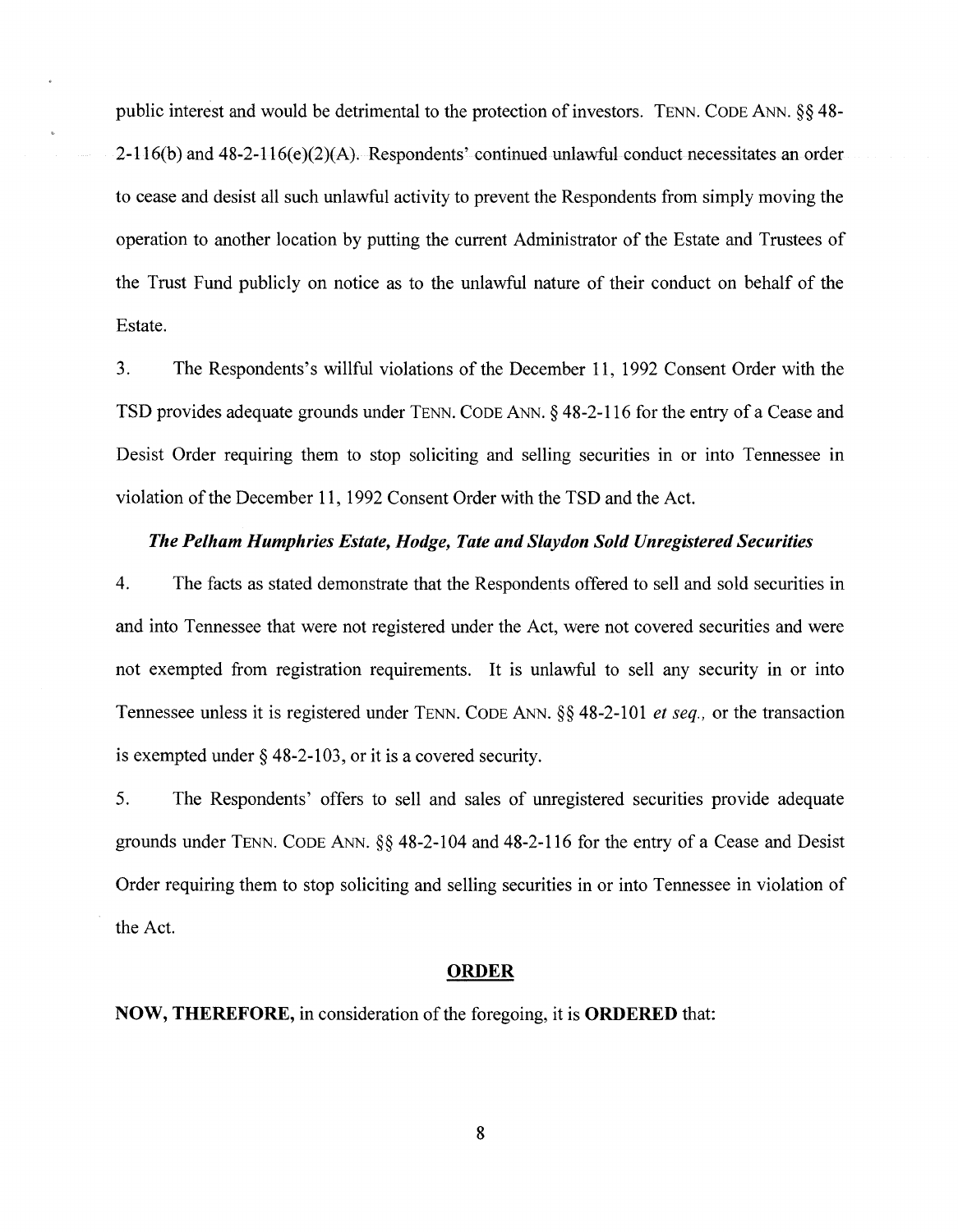public interest and would be detrimental to the protection of investors. TENN. CODE ANN. §§ 48- 2-116(b) and 48-2-116(e)(2)(A). Respondents' continued unlawful conduct necessitates an order to cease and desist all such unlawful activity to prevent the Respondents from simply moving the operation to another location by putting the current Administrator of the Estate and Trustees of the Trust Fund publicly on notice as to the unlawful nature of their conduct on behalf of the Estate.

3. The Respondents's willful violations of the December 11, 1992 Consent Order with the TSD provides adequate grounds under TENN. CODE ANN.§ 48-2-116 for the entry of a Cease and Desist Order requiring them to stop soliciting and selling securities in or into Tennessee in violation of the December 11, 1992 Consent Order with the TSD and the Act.

### *The Pelham Humphries Estate, Hodge, Tate and Slaydon Sold Unregistered Securities*

4. The facts as stated demonstrate that the Respondents offered to sell and sold securities in and into Tennessee that were not registered under the Act, were not covered securities and were not exempted from registration requirements. It is unlawful to sell any security in or into Tennessee unless it is registered under TENN. CODE ANN.§§ 48-2-101 *et seq.,* or the transaction is exempted under§ 48-2-103, or it is a covered security.

5. The Respondents' offers to sell and sales of unregistered securities provide adequate grounds under TENN. CODE ANN.§§ 48-2-104 and 48-2-116 for the entry of a Cease and Desist Order requiring them to stop soliciting and selling securities in or into Tennessee in violation of the Act.

#### **ORDER**

**NOW, THEREFORE,** in consideration of the foregoing, it is **ORDERED** that: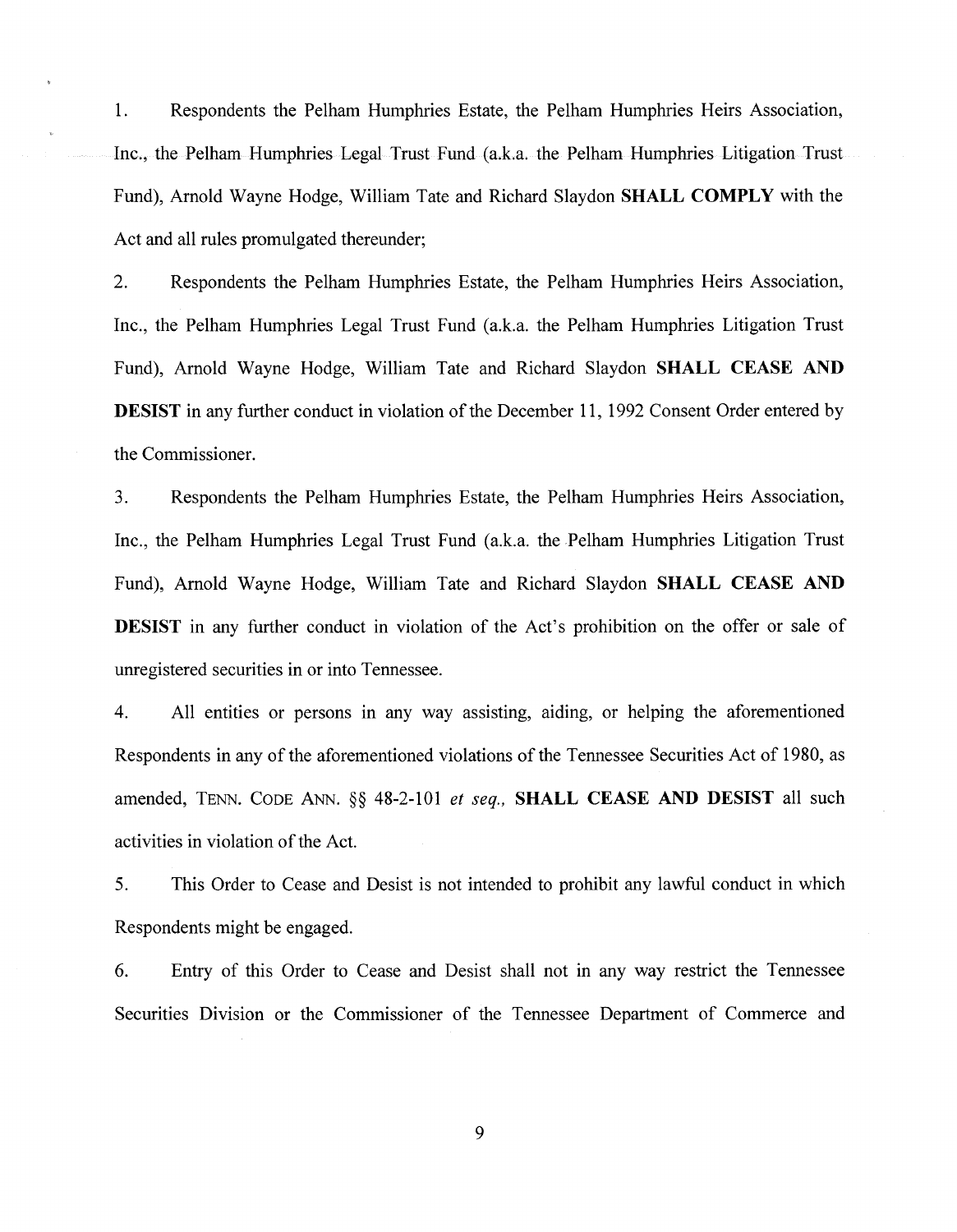1. Respondents the Pelham Humphries Estate, the Pelham Humphries Heirs Association, Inc., the Pelham Humphries Legal Trust Fund (a.k.a. the Pelham Humphries Litigation Trust Fund), Arnold Wayne Hodge, William Tate and Richard Slaydon SHALL COMPLY with the Act and all rules promulgated thereunder;

2. Respondents the Pelham Humphries Estate, the Pelham Humphries Heirs Association, Inc., the Pelham Humphries Legal Trust Fund (a.k.a. the Pelham Humphries Litigation Trust Fund), Arnold Wayne Hodge, William Tate and Richard Slaydon SHALL CEASE AND **DESIST** in any further conduct in violation of the December 11, 1992 Consent Order entered by the Commissioner.

3. Respondents the Pelham Humphries Estate, the Pelham Humphries Heirs Association, Inc., the Pelham Humphries Legal Trust Fund (a.k.a. the Pelham Humphries Litigation Trust Fund), Arnold Wayne Hodge, William Tate and Richard Slaydon SHALL CEASE AND DESIST in any further conduct in violation of the Act's prohibition on the offer or sale of unregistered securities in or into Tennessee.

4. All entities or persons in any way assisting, aiding, or helping the aforementioned Respondents in any of the aforementioned violations of the Tennessee Securities Act of 1980, as amended, TENN. CODE ANN. §§ 48-2-101 *et seq.,* SHALL CEASE AND DESIST all such activities in violation of the Act.

5. This Order to Cease and Desist is not intended to prohibit any lawful conduct in which Respondents might be engaged.

6. Entry of this Order to Cease and Desist shall not in any way restrict the Tennessee Securities Division or the Commissioner of the Tennessee Department of Commerce and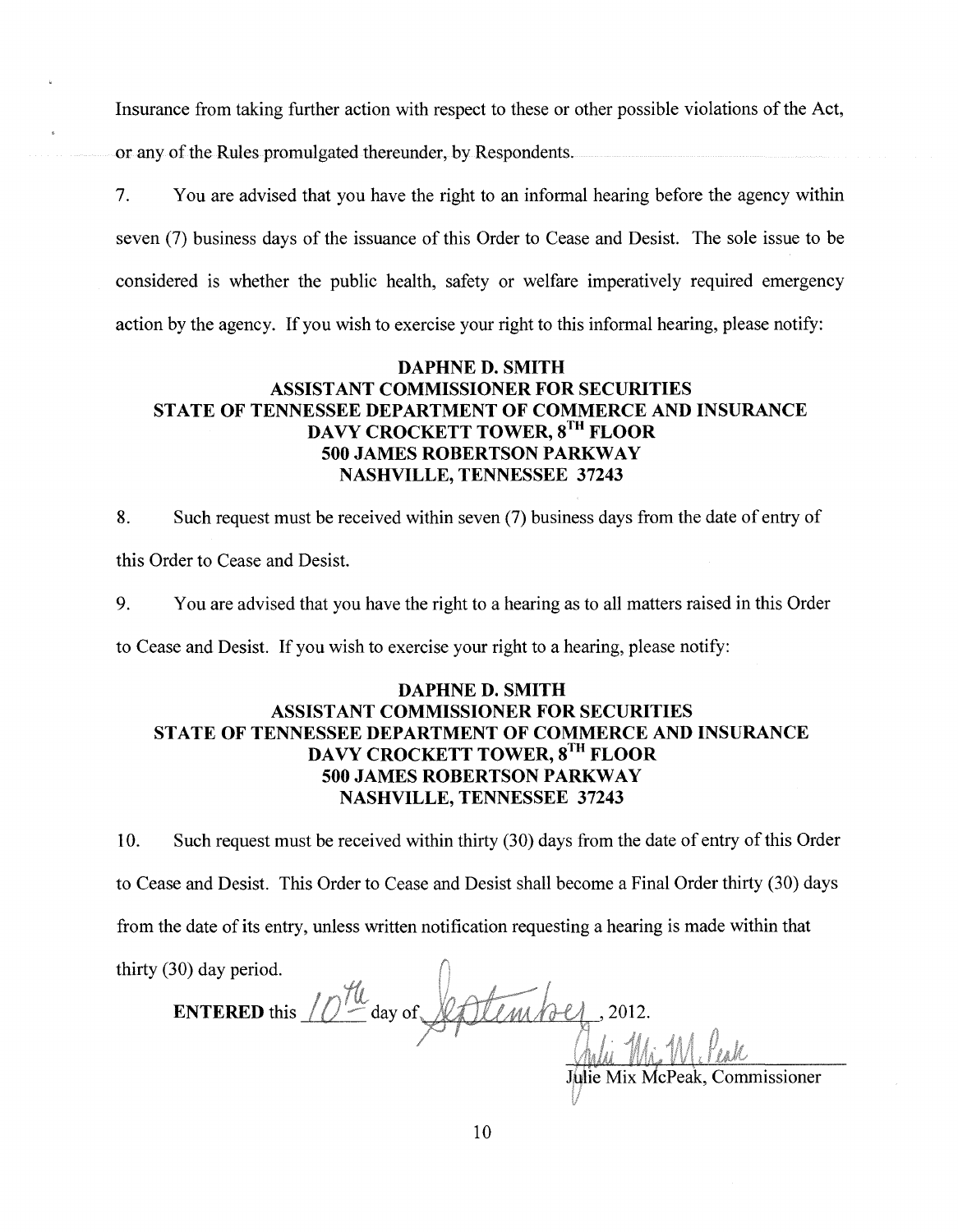Insurance from taking further action with respect to these or other possible violations of the Act, or any of the Rules promulgated thereunder, by Respondents.

7. You are advised that you have the right to an informal hearing before the agency within seven (7) business days of the issuance of this Order to Cease and Desist. The sole issue to be considered is whether the public health, safety or welfare imperatively required emergency action by the agency. If you wish to exercise your right to this informal hearing, please notify:

## DAPHNE D. SMITH ASSISTANT COMMISSIONER FOR SECURITIES STATE OF TENNESSEE DEPARTMENT OF COMMERCE AND INSURANCE DAVY CROCKETT TOWER, 8<sup>TH</sup> FLOOR 500 JAMES ROBERTSON PARKWAY NASHVILLE, TENNESSEE 37243

8. Such request must be received within seven (7) business days from the date of entry of this Order to Cease and Desist.

9. You are advised that you have the right to a hearing as to all matters raised in this Order

to Cease and Desist. If you wish to exercise your right to a hearing, please notify:

## DAPHNE D. SMITH ASSISTANT COMMISSIONER FOR SECURITIES STATE OF TENNESSEE DEPARTMENT OF COMMERCE AND INSURANCE DAVY CROCKETT TOWER, 8<sup>TH</sup> FLOOR 500 JAMES ROBERTSON PARKWAY NASHVILLE, TENNESSEE 37243

10. Such request must be received within thirty (30) days from the date of entry of this Order to Cease and Desist. This Order to Cease and Desist shall become a Final Order thirty (30) days from the date of its entry, unless written notification requesting a hearing is made within that

thirty (30) day period. **ENTERED** this  $\iiint$  day of timbo 2012. Julie Mix McPeak, Commissioner

*'j*